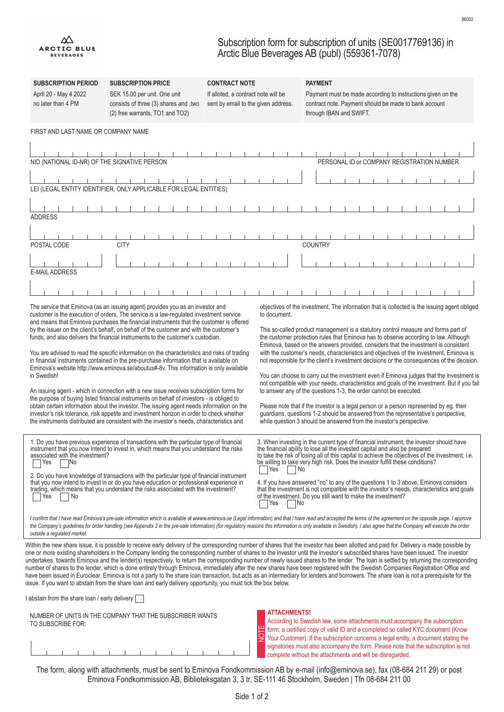## Subscription form for subscription of units (SE0017769136) in Arctic Blue Beverages AB (publ) (559361-7078)

| <b>SUBSCRIPTION PERIOD</b>                                                                                                                                                                                                                                                                                                                                                                                                                                                                                                                                                                                                                                                                                                                                                                                                                                                                                                                                                                                                                                                  | <b>SUBSCRIPTION PRICE</b>                                                                                                                                                                                                                                                                                                                                                                                                                                                                                                                                                                                                                                                                                                                                                                                                                                                                                                                                                                                                                                                                                                            | <b>CONTRACT NOTE</b>                                                       |                     | <b>PAYMENT</b>                                                                                                                                                                                                                                                                                                                                                                                                                                                                                                                                                                                                                                                                                                                                                                                                                                                                                                                                                                       |  |
|-----------------------------------------------------------------------------------------------------------------------------------------------------------------------------------------------------------------------------------------------------------------------------------------------------------------------------------------------------------------------------------------------------------------------------------------------------------------------------------------------------------------------------------------------------------------------------------------------------------------------------------------------------------------------------------------------------------------------------------------------------------------------------------------------------------------------------------------------------------------------------------------------------------------------------------------------------------------------------------------------------------------------------------------------------------------------------|--------------------------------------------------------------------------------------------------------------------------------------------------------------------------------------------------------------------------------------------------------------------------------------------------------------------------------------------------------------------------------------------------------------------------------------------------------------------------------------------------------------------------------------------------------------------------------------------------------------------------------------------------------------------------------------------------------------------------------------------------------------------------------------------------------------------------------------------------------------------------------------------------------------------------------------------------------------------------------------------------------------------------------------------------------------------------------------------------------------------------------------|----------------------------------------------------------------------------|---------------------|--------------------------------------------------------------------------------------------------------------------------------------------------------------------------------------------------------------------------------------------------------------------------------------------------------------------------------------------------------------------------------------------------------------------------------------------------------------------------------------------------------------------------------------------------------------------------------------------------------------------------------------------------------------------------------------------------------------------------------------------------------------------------------------------------------------------------------------------------------------------------------------------------------------------------------------------------------------------------------------|--|
| April 20 - May 4 2022<br>no later than 4 PM                                                                                                                                                                                                                                                                                                                                                                                                                                                                                                                                                                                                                                                                                                                                                                                                                                                                                                                                                                                                                                 | SEK 15.00 per unit. One unit<br>consists of three (3) shares and , two<br>(2) free warrants, TO1 and TO2)                                                                                                                                                                                                                                                                                                                                                                                                                                                                                                                                                                                                                                                                                                                                                                                                                                                                                                                                                                                                                            | If alloted, a contract note will be<br>sent by email to the given address. |                     | Payment must be made according to instructions given on the<br>contract note. Payment should be made to bank account<br>through IBAN and SWIFT.                                                                                                                                                                                                                                                                                                                                                                                                                                                                                                                                                                                                                                                                                                                                                                                                                                      |  |
| FIRST AND LAST NAME OR COMPANY NAME                                                                                                                                                                                                                                                                                                                                                                                                                                                                                                                                                                                                                                                                                                                                                                                                                                                                                                                                                                                                                                         |                                                                                                                                                                                                                                                                                                                                                                                                                                                                                                                                                                                                                                                                                                                                                                                                                                                                                                                                                                                                                                                                                                                                      |                                                                            |                     |                                                                                                                                                                                                                                                                                                                                                                                                                                                                                                                                                                                                                                                                                                                                                                                                                                                                                                                                                                                      |  |
|                                                                                                                                                                                                                                                                                                                                                                                                                                                                                                                                                                                                                                                                                                                                                                                                                                                                                                                                                                                                                                                                             |                                                                                                                                                                                                                                                                                                                                                                                                                                                                                                                                                                                                                                                                                                                                                                                                                                                                                                                                                                                                                                                                                                                                      |                                                                            |                     |                                                                                                                                                                                                                                                                                                                                                                                                                                                                                                                                                                                                                                                                                                                                                                                                                                                                                                                                                                                      |  |
| NID (NATIONAL ID-NR) OF THE SIGNATIVE PERSON                                                                                                                                                                                                                                                                                                                                                                                                                                                                                                                                                                                                                                                                                                                                                                                                                                                                                                                                                                                                                                |                                                                                                                                                                                                                                                                                                                                                                                                                                                                                                                                                                                                                                                                                                                                                                                                                                                                                                                                                                                                                                                                                                                                      |                                                                            |                     | PERSONAL ID or COMPANY REGISTRATION NUMBER                                                                                                                                                                                                                                                                                                                                                                                                                                                                                                                                                                                                                                                                                                                                                                                                                                                                                                                                           |  |
|                                                                                                                                                                                                                                                                                                                                                                                                                                                                                                                                                                                                                                                                                                                                                                                                                                                                                                                                                                                                                                                                             |                                                                                                                                                                                                                                                                                                                                                                                                                                                                                                                                                                                                                                                                                                                                                                                                                                                                                                                                                                                                                                                                                                                                      |                                                                            |                     |                                                                                                                                                                                                                                                                                                                                                                                                                                                                                                                                                                                                                                                                                                                                                                                                                                                                                                                                                                                      |  |
|                                                                                                                                                                                                                                                                                                                                                                                                                                                                                                                                                                                                                                                                                                                                                                                                                                                                                                                                                                                                                                                                             | LEI (LEGAL ENTITY IDENTIFIER, ONLY APPLICABLE FOR LEGAL ENTITIES)                                                                                                                                                                                                                                                                                                                                                                                                                                                                                                                                                                                                                                                                                                                                                                                                                                                                                                                                                                                                                                                                    |                                                                            |                     |                                                                                                                                                                                                                                                                                                                                                                                                                                                                                                                                                                                                                                                                                                                                                                                                                                                                                                                                                                                      |  |
| <b>ADDRESS</b>                                                                                                                                                                                                                                                                                                                                                                                                                                                                                                                                                                                                                                                                                                                                                                                                                                                                                                                                                                                                                                                              |                                                                                                                                                                                                                                                                                                                                                                                                                                                                                                                                                                                                                                                                                                                                                                                                                                                                                                                                                                                                                                                                                                                                      |                                                                            |                     |                                                                                                                                                                                                                                                                                                                                                                                                                                                                                                                                                                                                                                                                                                                                                                                                                                                                                                                                                                                      |  |
|                                                                                                                                                                                                                                                                                                                                                                                                                                                                                                                                                                                                                                                                                                                                                                                                                                                                                                                                                                                                                                                                             |                                                                                                                                                                                                                                                                                                                                                                                                                                                                                                                                                                                                                                                                                                                                                                                                                                                                                                                                                                                                                                                                                                                                      |                                                                            |                     |                                                                                                                                                                                                                                                                                                                                                                                                                                                                                                                                                                                                                                                                                                                                                                                                                                                                                                                                                                                      |  |
| POSTAL CODE                                                                                                                                                                                                                                                                                                                                                                                                                                                                                                                                                                                                                                                                                                                                                                                                                                                                                                                                                                                                                                                                 | <b>CITY</b>                                                                                                                                                                                                                                                                                                                                                                                                                                                                                                                                                                                                                                                                                                                                                                                                                                                                                                                                                                                                                                                                                                                          |                                                                            |                     | <b>COUNTRY</b>                                                                                                                                                                                                                                                                                                                                                                                                                                                                                                                                                                                                                                                                                                                                                                                                                                                                                                                                                                       |  |
|                                                                                                                                                                                                                                                                                                                                                                                                                                                                                                                                                                                                                                                                                                                                                                                                                                                                                                                                                                                                                                                                             |                                                                                                                                                                                                                                                                                                                                                                                                                                                                                                                                                                                                                                                                                                                                                                                                                                                                                                                                                                                                                                                                                                                                      |                                                                            |                     |                                                                                                                                                                                                                                                                                                                                                                                                                                                                                                                                                                                                                                                                                                                                                                                                                                                                                                                                                                                      |  |
| <b>E-MAIL ADDRESS</b>                                                                                                                                                                                                                                                                                                                                                                                                                                                                                                                                                                                                                                                                                                                                                                                                                                                                                                                                                                                                                                                       |                                                                                                                                                                                                                                                                                                                                                                                                                                                                                                                                                                                                                                                                                                                                                                                                                                                                                                                                                                                                                                                                                                                                      |                                                                            |                     |                                                                                                                                                                                                                                                                                                                                                                                                                                                                                                                                                                                                                                                                                                                                                                                                                                                                                                                                                                                      |  |
|                                                                                                                                                                                                                                                                                                                                                                                                                                                                                                                                                                                                                                                                                                                                                                                                                                                                                                                                                                                                                                                                             |                                                                                                                                                                                                                                                                                                                                                                                                                                                                                                                                                                                                                                                                                                                                                                                                                                                                                                                                                                                                                                                                                                                                      |                                                                            |                     |                                                                                                                                                                                                                                                                                                                                                                                                                                                                                                                                                                                                                                                                                                                                                                                                                                                                                                                                                                                      |  |
| in Swedish!                                                                                                                                                                                                                                                                                                                                                                                                                                                                                                                                                                                                                                                                                                                                                                                                                                                                                                                                                                                                                                                                 | customer is the execution of orders. The service is a law-regulated investment service<br>and means that Eminova purchases the financial instruments that the customer is offered<br>by the issuer on the client's behalf, on behalf of the customer and with the customer's<br>funds, and also delivers the financial instruments to the customer's custodian.<br>You are advised to read the specific information on the characteristics and risks of trading<br>in financial instruments contained in the pre-purchase information that is available on<br>Eminova's website http://www.eminova.se/aboutus#-8v. This information is only available<br>An issuing agent - which in connection with a new issue receives subscription forms for<br>the purpose of buying listed financial instruments on behalf of investors - is obliged to<br>obtain certain information about the investor. The issuing agent needs information on the<br>investor's risk tolerance, risk appetite and investment horizon in order to check whether<br>the instruments distributed are consistent with the investor's needs, characteristics and |                                                                            | to document.        | This so-called product management is a statutory control measure and forms part of<br>the customer protection rules that Eminova has to observe according to law. Although<br>Eminova, based on the answers provided, considers that the investment is consistent<br>with the customer's needs, characteristics and objectives of the investment, Eminova is<br>not responsible for the client's investment decisions or the consequences of the decision.<br>You can choose to carry out the investment even if Eminova judges that the investment is<br>not compatible with your needs, characteristics and goals of the investment. But if you fail<br>to answer any of the questions 1-3, the order cannot be executed.<br>Please note that if the investor is a legal person or a person represented by eg. their<br>guardians, questions 1-2 should be answered from the representative's perspective,<br>while question 3 should be answered from the investor's perspective. |  |
| associated with the investment?<br>Yes<br> No                                                                                                                                                                                                                                                                                                                                                                                                                                                                                                                                                                                                                                                                                                                                                                                                                                                                                                                                                                                                                               | 1. Do you have previous experience of transactions with the particular type of financial<br>instrument that you now intend to invest in, which means that you understand the risks<br>2. Do you have knowledge of transactions with the particular type of financial instrument<br>that you now intend to invest in or do you have education or professional experience in<br>trading, which means that you understand the risks associated with the investment?                                                                                                                                                                                                                                                                                                                                                                                                                                                                                                                                                                                                                                                                     |                                                                            | Yes<br>⊟ No         | 3. When investing in the current type of financial instrument, the investor should have<br>the financial ability to lose all the invested capital and also be prepared<br>to take the risk of losing all of this capital to achieve the objectives of the investment, i.e.<br>be willing to take very high risk. Does the investor fulfill these conditions?<br>4. If you have answered "no" to any of the questions 1 to 3 above, Eminova considers<br>that the investment is not compatible with the investor's needs, characteristics and goals                                                                                                                                                                                                                                                                                                                                                                                                                                   |  |
| of the investment. Do you still want to make the investment?<br>Yes<br>No.<br> Yes<br> No<br>I confirm that I have read Eminova's pre-sale information which is available at www.eminova.se (Legal information) and that I have read and accepted the terms of the agreement on the opposite page. I approve<br>the Company's guidelines for order handling (see Appendix 2 in the pre-sale information) (for regulatory reasons this information is only available in Swedish). I also agree that the Company will execute the order<br>outside a regulated market.                                                                                                                                                                                                                                                                                                                                                                                                                                                                                                        |                                                                                                                                                                                                                                                                                                                                                                                                                                                                                                                                                                                                                                                                                                                                                                                                                                                                                                                                                                                                                                                                                                                                      |                                                                            |                     |                                                                                                                                                                                                                                                                                                                                                                                                                                                                                                                                                                                                                                                                                                                                                                                                                                                                                                                                                                                      |  |
| Within the new share issue, it is possible to receive early delivery of the corresponding number of shares that the investor has been allotted and paid for. Delivery is made possible by<br>one or more existing shareholders in the Company lending the corresponding number of shares to the investor until the investor's subscribed shares have been issued. The investor<br>undertakes, towards Eminova and the lender(s) respectively, to return the corresponding number of newly issued shares to the lender. The loan is settled by returning the corresponding<br>number of shares to the lender, which is done entirely through Eminova, immediately after the new shares have been registered with the Swedish Companies Registration Office and<br>have been issued in Euroclear. Eminova is not a party to the share loan transaction, but acts as an intermediary for lenders and borrowers. The share loan is not a prerequisite for the<br>issue. If you want to abstain from the share loan and early delivery opportunity, you must tick the box below. |                                                                                                                                                                                                                                                                                                                                                                                                                                                                                                                                                                                                                                                                                                                                                                                                                                                                                                                                                                                                                                                                                                                                      |                                                                            |                     |                                                                                                                                                                                                                                                                                                                                                                                                                                                                                                                                                                                                                                                                                                                                                                                                                                                                                                                                                                                      |  |
| l abstain from the share loan / early delivery  <br>TO SUBSCRIBE FOR:                                                                                                                                                                                                                                                                                                                                                                                                                                                                                                                                                                                                                                                                                                                                                                                                                                                                                                                                                                                                       | NUMBER OF UNITS IN THE COMPANY THAT THE SUBSCRIBER WANTS                                                                                                                                                                                                                                                                                                                                                                                                                                                                                                                                                                                                                                                                                                                                                                                                                                                                                                                                                                                                                                                                             |                                                                            | <b>ATTACHMENTS!</b> | According to Swedish law, some attachments must accompany the subscription<br>form; a certified copy of valid ID and a completed so called KYC document (Know<br>Your Customer). If the subscription concerns a legal entity, a document stating the<br>signatories must also accompany the form. Please note that the subscription is not<br>complete without the attachments and will be disregarded.                                                                                                                                                                                                                                                                                                                                                                                                                                                                                                                                                                              |  |

The form, along with attachments, must be sent to Eminova Fondkommission AB by e-mail (info@eminova.se), fax (08-684 211 29) or post Eminova Fondkommission AB, Biblioteksgatan 3, 3 tr, SE-111 46 Stockholm, Sweden | Tfn 08-684 211 00